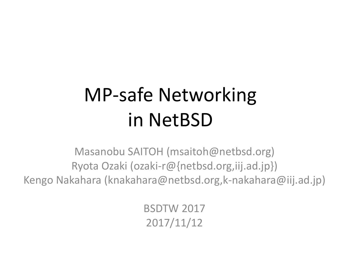# MP-safe Networking in NetBSD

Masanobu SAITOH (msaitoh@netbsd.org) Ryota Ozaki (ozaki-r@{netbsd.org,iij.ad.jp}) Kengo Nakahara (knakahara@netbsd.org,k-nakahara@iij.ad.jp)

> BSDTW 2017 2017/11/12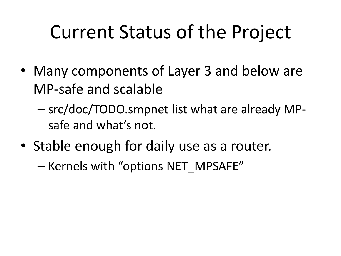## Current Status of the Project

- Many components of Layer 3 and below are MP-safe and scalable
	- src/doc/TODO.smpnet list what are already MPsafe and what's not.
- Stable enough for daily use as a router.

– Kernels with "options NET\_MPSAFE"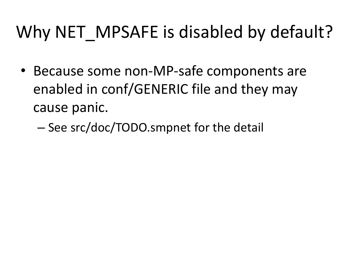#### Why NET MPSAFE is disabled by default?

- Because some non-MP-safe components are enabled in conf/GENERIC file and they may cause panic.
	- See src/doc/TODO.smpnet for the detail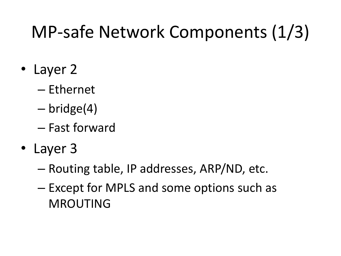#### MP-safe Network Components (1/3)

- Layer 2
	- Ethernet
	- bridge(4)
	- Fast forward
- Layer 3
	- Routing table, IP addresses, ARP/ND, etc.
	- Except for MPLS and some options such as MROUTING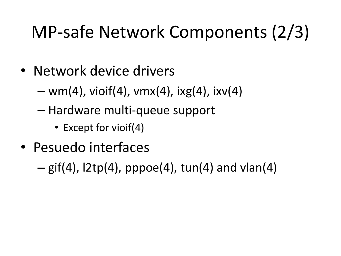## MP-safe Network Components (2/3)

- Network device drivers
	- $-$  wm(4), vioif(4), vmx(4), ixg(4), ixv(4)
	- Hardware multi-queue support
		- Except for vioif(4)
- Pesuedo interfaces
	- $-$  gif(4),  $2tp(4)$ , pppoe(4), tun(4) and vlan(4)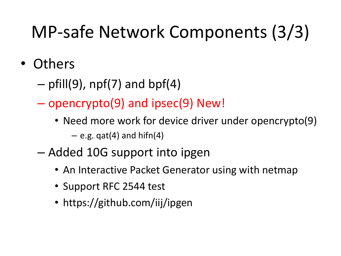## MP-safe Network Components (3/3)

- Others
	- $-$  pfill(9), npf(7) and bpf(4)
	- opencrypto(9) and ipsec(9) New!
		- Need more work for device driver under opencrypto(9)  $-$  e.g. gat(4) and hifn(4)
	- Added 10G support into ipgen
		- An Interactive Packet Generator using with netmap
		- Support RFC 2544 test
		- https://github.com/iij/ipgen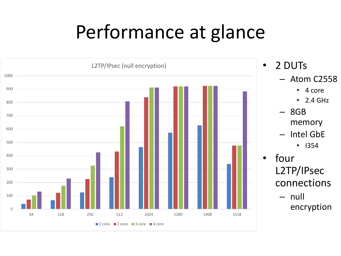## Performance at glance



- 2 DUTs
	- Atom C2558
		- 4 core
		- $\cdot$  2.4 GHz
	- 8GB memory
	- Intel GbE
		- I354
	- four L2TP/IPsec connections
		- null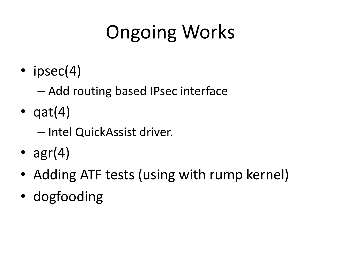# Ongoing Works

• ipsec(4)

– Add routing based IPsec interface

- $qat(4)$ 
	- Intel QuickAssist driver.
- $agr(4)$
- Adding ATF tests (using with rump kernel)
- dogfooding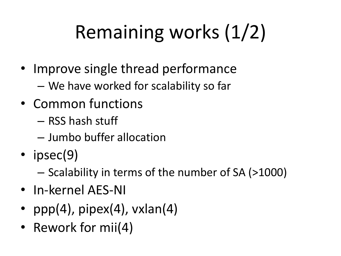# Remaining works (1/2)

- Improve single thread performance
	- We have worked for scalability so far
- Common functions
	- RSS hash stuff
	- Jumbo buffer allocation
- ipsec(9)
	- Scalability in terms of the number of SA (>1000)
- In-kernel AES-NI
- ppp $(4)$ , pipex $(4)$ , vxlan $(4)$
- Rework for mii(4)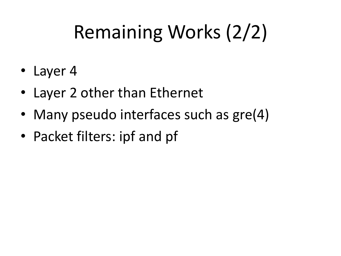# Remaining Works (2/2)

- Layer 4
- Layer 2 other than Ethernet
- Many pseudo interfaces such as gre(4)
- Packet filters: ipf and pf